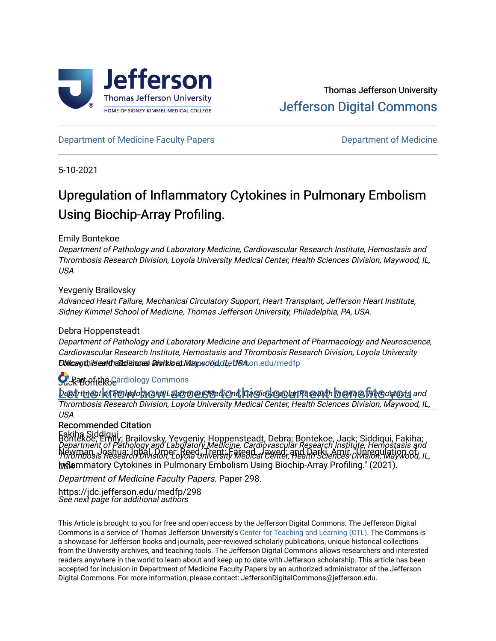

[Department of Medicine Faculty Papers](https://jdc.jefferson.edu/medfp) **Department of Medicine** 

5-10-2021

# Upregulation of Inflammatory Cytokines in Pulmonary Embolism Using Biochip-Array Profiling.

Emily Bontekoe

Department of Pathology and Laboratory Medicine, Cardiovascular Research Institute, Hemostasis and Thrombosis Research Division, Loyola University Medical Center, Health Sciences Division, Maywood, IL, USA

## Yevgeniy Brailovsky

Advanced Heart Failure, Mechanical Circulatory Support, Heart Transplant, Jefferson Heart Institute, Sidney Kimmel School of Medicine, Thomas Jefferson University, Philadelphia, PA, USA.

## Debra Hoppensteadt

Department of Pathology and Laboratory Medicine and Department of Pharmacology and Neuroscience, Cardiovascular Research Institute, Hemostasis and Thrombosis Research Division, Loyola University Ebilicagthis earltha Sciences Division, Maywood, duetis A.on.edu/medfp

## Sack and the [Cardiology Commons](http://network.bepress.com/hgg/discipline/683?utm_source=jdc.jefferson.edu%2Fmedfp%2F298&utm_medium=PDF&utm_campaign=PDFCoverPages)

<u>Department of Pathology and Laboratory Accordinate and institute and department of this document of this document</u> Thrombosis Research Division, Loyola University Medical Center, Health Sciences Division, Maywood, IL, USA

## Recommended Citation

Fakiha Siddiqui Department of Pathology and Laboratory Medicine, Cardiovascular Research Institute, Hemostasis and Thrombosis Research Division, Loyola University Medical Center, Health Sciences Division, Maywood, IL, USA Inflammatory Cytokines in Pulmonary Embolism Using Biochip-Array Profiling." (2021). Bontekoe, Emily; Brailovsky, Yevgeniy; Hoppensteadt, Debra; Bontekoe, Jack; Siddiqui, Fakiha; Newman, Joshua; Iqbal, Omer; Reed, Trent; Fareed, Jawed; and Darki, Amir, "Upregulation of

Department of Medicine Faculty Papers. Paper 298.

See next page for additional authors https://jdc.jefferson.edu/medfp/298

This Article is brought to you for free and open access by the Jefferson Digital Commons. The Jefferson Digital Commons is a service of Thomas Jefferson University's [Center for Teaching and Learning \(CTL\)](http://www.jefferson.edu/university/teaching-learning.html/). The Commons is a showcase for Jefferson books and journals, peer-reviewed scholarly publications, unique historical collections from the University archives, and teaching tools. The Jefferson Digital Commons allows researchers and interested readers anywhere in the world to learn about and keep up to date with Jefferson scholarship. This article has been accepted for inclusion in Department of Medicine Faculty Papers by an authorized administrator of the Jefferson Digital Commons. For more information, please contact: JeffersonDigitalCommons@jefferson.edu.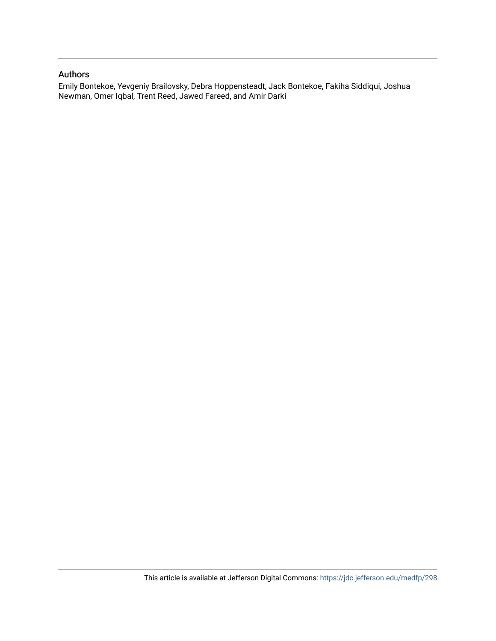## Authors

Emily Bontekoe, Yevgeniy Brailovsky, Debra Hoppensteadt, Jack Bontekoe, Fakiha Siddiqui, Joshua Newman, Omer Iqbal, Trent Reed, Jawed Fareed, and Amir Darki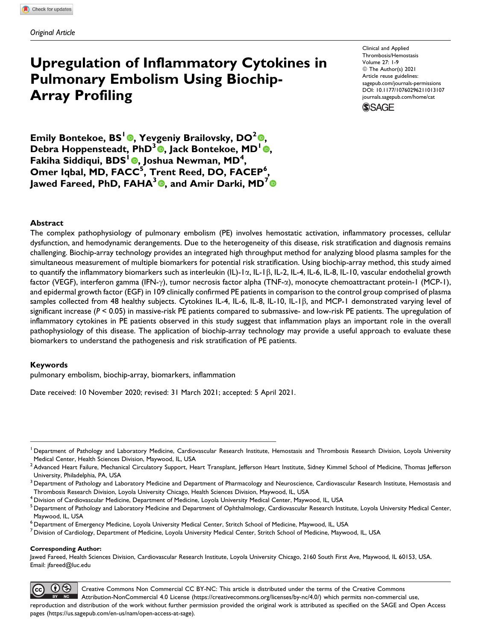## **Upregulation of Inflammatory Cytokines in Pulmonary Embolism Using Biochip-Array Profiling**

Clinical and Applied Thrombosis/Hemostasis Volume 27: 1-9 © The Author(s) 2021 Article reuse guidelines: [sagepub.com/journals-permissions](https://sagepub.com/journals-permissions) [DOI: 10.1177/10760296211013107](https://doi.org/10.1177/10760296211013107) [journals.sagepub.com/home/cat](http://journals.sagepub.com/home/cat)



**Emily Bontekoe, BS<sup>1</sup> , Yevgeniy Brailovsky, DO<sup>2</sup> , Debra Hoppensteadt, PhD<sup>3</sup> <b>©**, Jack Bontekoe, MD<sup>1</sup> **©**, **Fakiha Siddiqui, BDS<sup>1</sup> , Joshua Newman, MD<sup>4</sup> , Omer Iqbal, MD, FACC<sup>5</sup> , Trent Reed, DO, FACEP<sup>6</sup> ,** Jawed Fareed, PhD, FAHA<sup>3</sup> **0**, and Amir Darki, MD<sup>7</sup> **0** 

#### **Abstract**

The complex pathophysiology of pulmonary embolism (PE) involves hemostatic activation, inflammatory processes, cellular dysfunction, and hemodynamic derangements. Due to the heterogeneity of this disease, risk stratification and diagnosis remains challenging. Biochip-array technology provides an integrated high throughput method for analyzing blood plasma samples for the simultaneous measurement of multiple biomarkers for potential risk stratification. Using biochip-array method, this study aimed to quantify the inflammatory biomarkers such as interleukin (IL)-1 $\alpha$ , IL-1 $\beta$ , IL-2, IL-4, IL-6, IL-8, IL-10, vascular endothelial growth factor (VEGF), interferon gamma (IFN-g), tumor necrosis factor alpha (TNF-a), monocyte chemoattractant protein-1 (MCP-1), and epidermal growth factor (EGF) in 109 clinically confirmed PE patients in comparison to the control group comprised of plasma samples collected from 48 healthy subjects. Cytokines IL-4, IL-6, IL-8, IL-10, IL-1 $\beta$ , and MCP-1 demonstrated varying level of significant increase (*P* < 0.05) in massive-risk PE patients compared to submassive- and low-risk PE patients. The upregulation of inflammatory cytokines in PE patients observed in this study suggest that inflammation plays an important role in the overall pathophysiology of this disease. The application of biochip-array technology may provide a useful approach to evaluate these biomarkers to understand the pathogenesis and risk stratification of PE patients.

#### **Keywords**

pulmonary embolism, biochip-array, biomarkers, inflammation

Date received: 10 November 2020; revised: 31 March 2021; accepted: 5 April 2021.

#### **Corresponding Author:**

Jawed Fareed, Health Sciences Division, Cardiovascular Research Institute, Loyola University Chicago, 2160 South First Ave, Maywood, IL 60153, USA. Email: [jfareed@luc.edu](mailto:jfareed@luc.edu)



<sup>&</sup>lt;sup>1</sup> Department of Pathology and Laboratory Medicine, Cardiovascular Research Institute, Hemostasis and Thrombosis Research Division, Loyola University Medical Center, Health Sciences Division, Maywood, IL, USA

 $^2$ Advanced Heart Failure, Mechanical Circulatory Support, Heart Transplant, Jefferson Heart Institute, Sidney Kimmel School of Medicine, Thomas Jefferson University, Philadelphia, PA, USA

 $^3$  Department of Pathology and Laboratory Medicine and Department of Pharmacology and Neuroscience, Cardiovascular Research Institute, Hemostasis and Thrombosis Research Division, Loyola University Chicago, Health Sciences Division, Maywood, IL, USA

 $^4$  Division of Cardiovascular Medicine, Department of Medicine, Loyola University Medical Center, Maywood, IL, USA

<sup>&</sup>lt;sup>5</sup> Department of Pathology and Laboratory Medicine and Department of Ophthalmology, Cardiovascular Research Institute, Loyola University Medical Center, Maywood, IL, USA

 $^6$  Department of Emergency Medicine, Loyola University Medical Center, Stritch School of Medicine, Maywood, IL, USA

<sup>7</sup> Division of Cardiology, Department of Medicine, Loyola University Medical Center, Stritch School of Medicine, Maywood, IL, USA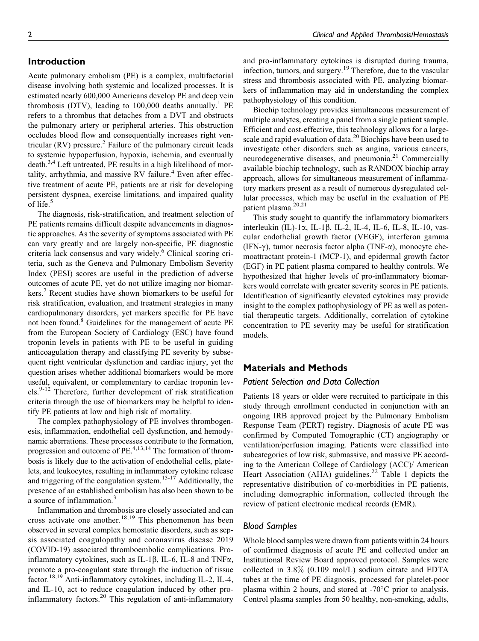## **Introduction**

Acute pulmonary embolism (PE) is a complex, multifactorial disease involving both systemic and localized processes. It is estimated nearly 600,000 Americans develop PE and deep vein thrombosis (DTV), leading to  $100,000$  deaths annually.<sup>1</sup> PE refers to a thrombus that detaches from a DVT and obstructs the pulmonary artery or peripheral arteries. This obstruction occludes blood flow and consequentially increases right ventricular (RV) pressure. ${}^{2}$  Failure of the pulmonary circuit leads to systemic hypoperfusion, hypoxia, ischemia, and eventually death.<sup>3,4</sup> Left untreated, PE results in a high likelihood of mortality, arrhythmia, and massive RV failure. $4$  Even after effective treatment of acute PE, patients are at risk for developing persistent dyspnea, exercise limitations, and impaired quality of life.<sup>5</sup>

The diagnosis, risk-stratification, and treatment selection of PE patients remains difficult despite advancements in diagnostic approaches. As the severity of symptoms associated with PE can vary greatly and are largely non-specific, PE diagnostic criteria lack consensus and vary widely.<sup>6</sup> Clinical scoring criteria, such as the Geneva and Pulmonary Embolism Severity Index (PESI) scores are useful in the prediction of adverse outcomes of acute PE, yet do not utilize imaging nor biomarkers.<sup>7</sup> Recent studies have shown biomarkers to be useful for risk stratification, evaluation, and treatment strategies in many cardiopulmonary disorders, yet markers specific for PE have not been found.<sup>8</sup> Guidelines for the management of acute PE from the European Society of Cardiology (ESC) have found troponin levels in patients with PE to be useful in guiding anticoagulation therapy and classifying PE severity by subsequent right ventricular dysfunction and cardiac injury, yet the question arises whether additional biomarkers would be more useful, equivalent, or complementary to cardiac troponin levels.<sup>9-12</sup> Therefore, further development of risk stratification criteria through the use of biomarkers may be helpful to identify PE patients at low and high risk of mortality.

The complex pathophysiology of PE involves thrombogenesis, inflammation, endothelial cell dysfunction, and hemodynamic aberrations. These processes contribute to the formation, progression and outcome of PE.<sup>4,13,14</sup> The formation of thrombosis is likely due to the activation of endothelial cells, platelets, and leukocytes, resulting in inflammatory cytokine release and triggering of the coagulation system.<sup>15-17</sup> Additionally, the presence of an established embolism has also been shown to be a source of inflammation.<sup>3</sup>

Inflammation and thrombosis are closely associated and can cross activate one another.<sup>18,19</sup> This phenomenon has been observed in several complex hemostatic disorders, such as sepsis associated coagulopathy and coronavirus disease 2019 (COVID-19) associated thromboembolic complications. Proinflammatory cytokines, such as IL-1 $\beta$ , IL-6, IL-8 and TNF $\alpha$ , promote a pro-coagulant state through the induction of tissue factor.18,19 Anti-inflammatory cytokines, including IL-2, IL-4, and IL-10, act to reduce coagulation induced by other proinflammatory factors.<sup>20</sup> This regulation of anti-inflammatory

and pro-inflammatory cytokines is disrupted during trauma, infection, tumors, and surgery.<sup>19</sup> Therefore, due to the vascular stress and thrombosis associated with PE, analyzing biomarkers of inflammation may aid in understanding the complex pathophysiology of this condition.

Biochip technology provides simultaneous measurement of multiple analytes, creating a panel from a single patient sample. Efficient and cost-effective, this technology allows for a largescale and rapid evaluation of data.<sup>20</sup> Biochips have been used to investigate other disorders such as angina, various cancers, neurodegenerative diseases, and pneumonia.<sup>21</sup> Commercially available biochip technology, such as RANDOX biochip array approach, allows for simultaneous measurement of inflammatory markers present as a result of numerous dysregulated cellular processes, which may be useful in the evaluation of PE patient plasma.<sup>20,21</sup>

This study sought to quantify the inflammatory biomarkers interleukin (IL)-1 $\alpha$ , IL-1 $\beta$ , IL-2, IL-4, IL-6, IL-8, IL-10, vascular endothelial growth factor (VEGF), interferon gamma (IFN- $\gamma$ ), tumor necrosis factor alpha (TNF- $\alpha$ ), monocyte chemoattractant protein-1 (MCP-1), and epidermal growth factor (EGF) in PE patient plasma compared to healthy controls. We hypothesized that higher levels of pro-inflammatory biomarkers would correlate with greater severity scores in PE patients. Identification of significantly elevated cytokines may provide insight to the complex pathophysiology of PE as well as potential therapeutic targets. Additionally, correlation of cytokine concentration to PE severity may be useful for stratification models.

#### **Materials and Methods**

#### *Patient Selection and Data Collection*

Patients 18 years or older were recruited to participate in this study through enrollment conducted in conjunction with an ongoing IRB approved project by the Pulmonary Embolism Response Team (PERT) registry. Diagnosis of acute PE was confirmed by Computed Tomographic (CT) angiography or ventilation/perfusion imaging. Patients were classified into subcategories of low risk, submassive, and massive PE according to the American College of Cardiology (ACC)/ American Heart Association (AHA) guidelines.<sup>22</sup> Table 1 depicts the representative distribution of co-morbidities in PE patients, including demographic information, collected through the review of patient electronic medical records (EMR).

### *Blood Samples*

Whole blood samples were drawn from patients within 24 hours of confirmed diagnosis of acute PE and collected under an Institutional Review Board approved protocol. Samples were collected in 3.8% (0.109 mol/L) sodium citrate and EDTA tubes at the time of PE diagnosis, processed for platelet-poor plasma within 2 hours, and stored at -70 $^{\circ}$ C prior to analysis. Control plasma samples from 50 healthy, non-smoking, adults,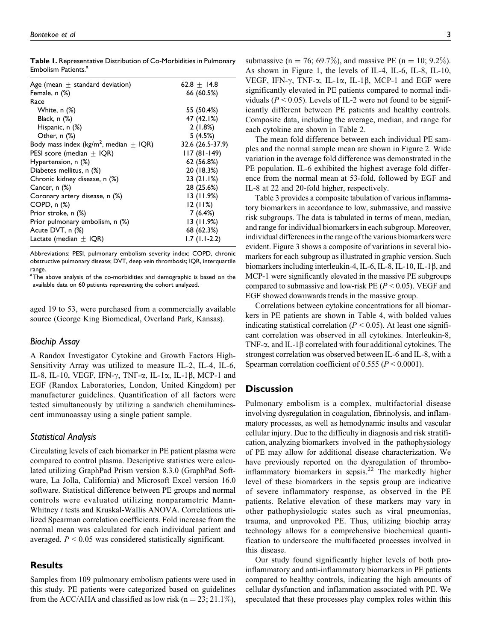**Table 1.** Representative Distribution of Co-Morbidities in Pulmonary Embolism Patients.<sup>a</sup>

| Age (mean $\pm$ standard deviation)                    | 62.8 $\pm$ 14.8  |
|--------------------------------------------------------|------------------|
| Female, n (%)                                          | 66 (60.5%)       |
| Race                                                   |                  |
| White, n (%)                                           | 55 (50.4%)       |
| Black, $n$ $%$                                         | 47 (42.1%)       |
| Hispanic, n (%)                                        | 2(1.8%)          |
| Other, $n$ $%$                                         | 5(4.5%)          |
| Body mass index (kg/m <sup>2</sup> , median $\pm$ IQR) | 32.6 (26.5-37.9) |
| PESI score (median $\pm$ IQR)                          | $117(81-149)$    |
| Hypertension, n (%)                                    | 62 (56.8%)       |
| Diabetes mellitus, n (%)                               | 20 (18.3%)       |
| Chronic kidney disease, n (%)                          | 23(21.1%)        |
| Cancer, n (%)                                          | 28 (25.6%)       |
| Coronary artery disease, n (%)                         | 13(11.9%)        |
| COPD, n (%)                                            | 12(11%)          |
| Prior stroke, n (%)                                    | 7(6.4%)          |
| Prior pulmonary embolism, n (%)                        | 13(11.9%)        |
| Acute DVT, n (%)                                       | 68 (62.3%)       |
| Lactate (median $\pm$ IQR)                             | $1.7(1.1-2.2)$   |

Abbreviations: PESI, pulmonary embolism severity index; COPD, chronic obstructive pulmonary disease; DVT, deep vein thrombosis; IQR, interquartile range.

<sup>a</sup>The above analysis of the co-morbidities and demographic is based on the available data on 60 patients representing the cohort analyzed.

aged 19 to 53, were purchased from a commercially available source (George King Biomedical, Overland Park, Kansas).

#### *Biochip Assay*

A Randox Investigator Cytokine and Growth Factors High-Sensitivity Array was utilized to measure IL-2, IL-4, IL-6, IL-8, IL-10, VEGF, IFN- $\gamma$ , TNF- $\alpha$ , IL-1 $\alpha$ , IL-1 $\beta$ , MCP-1 and EGF (Randox Laboratories, London, United Kingdom) per manufacturer guidelines. Quantification of all factors were tested simultaneously by utilizing a sandwich chemiluminescent immunoassay using a single patient sample.

#### *Statistical Analysis*

Circulating levels of each biomarker in PE patient plasma were compared to control plasma. Descriptive statistics were calculated utilizing GraphPad Prism version 8.3.0 (GraphPad Software, La Jolla, California) and Microsoft Excel version 16.0 software. Statistical difference between PE groups and normal controls were evaluated utilizing nonparametric Mann-Whitney t tests and Kruskal-Wallis ANOVA. Correlations utilized Spearman correlation coefficients. Fold increase from the normal mean was calculated for each individual patient and averaged.  $P < 0.05$  was considered statistically significant.

#### **Results**

Samples from 109 pulmonary embolism patients were used in this study. PE patients were categorized based on guidelines from the ACC/AHA and classified as low risk ( $n = 23$ ; 21.1%), submassive (n = 76; 69.7%), and massive PE (n = 10; 9.2%). As shown in Figure 1, the levels of IL-4, IL-6, IL-8, IL-10, VEGF, IFN- $\gamma$ , TNF- $\alpha$ , IL-1 $\alpha$ , IL-1 $\beta$ , MCP-1 and EGF were significantly elevated in PE patients compared to normal individuals ( $P < 0.05$ ). Levels of IL-2 were not found to be significantly different between PE patients and healthy controls. Composite data, including the average, median, and range for each cytokine are shown in Table 2.

The mean fold difference between each individual PE samples and the normal sample mean are shown in Figure 2. Wide variation in the average fold difference was demonstrated in the PE population. IL-6 exhibited the highest average fold difference from the normal mean at 53-fold, followed by EGF and IL-8 at 22 and 20-fold higher, respectively.

Table 3 provides a composite tabulation of various inflammatory biomarkers in accordance to low, submassive, and massive risk subgroups. The data is tabulated in terms of mean, median, and range for individual biomarkers in each subgroup. Moreover, individual differences in the range of the various biomarkers were evident. Figure 3 shows a composite of variations in several biomarkers for each subgroup as illustrated in graphic version. Such biomarkers including interleukin-4, IL-6, IL-8, IL-10, IL-1 $\beta$ , and MCP-1 were significantly elevated in the massive PE subgroups compared to submassive and low-risk PE ( $P < 0.05$ ). VEGF and EGF showed downwards trends in the massive group.

Correlations between cytokine concentrations for all biomarkers in PE patients are shown in Table 4, with bolded values indicating statistical correlation ( $P < 0.05$ ). At least one significant correlation was observed in all cytokines. Interleukin-8, TNF- $\alpha$ , and IL-1 $\beta$  correlated with four additional cytokines. The strongest correlation was observed between IL-6 and IL-8, with a Spearman correlation coefficient of 0.555 ( $P < 0.0001$ ).

#### **Discussion**

Pulmonary embolism is a complex, multifactorial disease involving dysregulation in coagulation, fibrinolysis, and inflammatory processes, as well as hemodynamic insults and vascular cellular injury. Due to the difficulty in diagnosis and risk stratification, analyzing biomarkers involved in the pathophysiology of PE may allow for additional disease characterization. We have previously reported on the dysregulation of thromboinflammatory biomarkers in sepsis.<sup>22</sup> The markedly higher level of these biomarkers in the sepsis group are indicative of severe inflammatory response, as observed in the PE patients. Relative elevation of these markers may vary in other pathophysiologic states such as viral pneumonias, trauma, and unprovoked PE. Thus, utilizing biochip array technology allows for a comprehensive biochemical quantification to underscore the multifaceted processes involved in this disease.

Our study found significantly higher levels of both proinflammatory and anti-inflammatory biomarkers in PE patients compared to healthy controls, indicating the high amounts of cellular dysfunction and inflammation associated with PE. We speculated that these processes play complex roles within this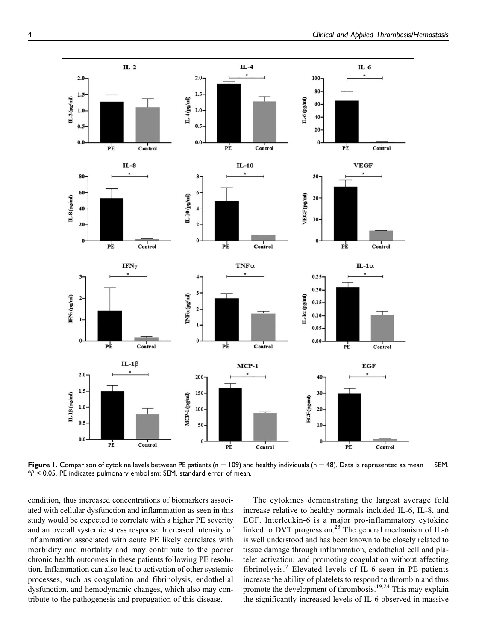

**Figure 1.** Comparison of cytokine levels between PE patients ( $n = 109$ ) and healthy individuals ( $n = 48$ ). Data is represented as mean  $\pm$  SEM. \**P* < 0.05. PE indicates pulmonary embolism; SEM, standard error of mean.

condition, thus increased concentrations of biomarkers associated with cellular dysfunction and inflammation as seen in this study would be expected to correlate with a higher PE severity and an overall systemic stress response. Increased intensity of inflammation associated with acute PE likely correlates with morbidity and mortality and may contribute to the poorer chronic health outcomes in these patients following PE resolution. Inflammation can also lead to activation of other systemic processes, such as coagulation and fibrinolysis, endothelial dysfunction, and hemodynamic changes, which also may contribute to the pathogenesis and propagation of this disease.

The cytokines demonstrating the largest average fold increase relative to healthy normals included IL-6, IL-8, and EGF. Interleukin-6 is a major pro-inflammatory cytokine linked to DVT progression.<sup>23</sup> The general mechanism of IL-6 is well understood and has been known to be closely related to tissue damage through inflammation, endothelial cell and platelet activation, and promoting coagulation without affecting fibrinolysis.<sup>7</sup> Elevated levels of IL-6 seen in PE patients increase the ability of platelets to respond to thrombin and thus promote the development of thrombosis.19,24 This may explain the significantly increased levels of IL-6 observed in massive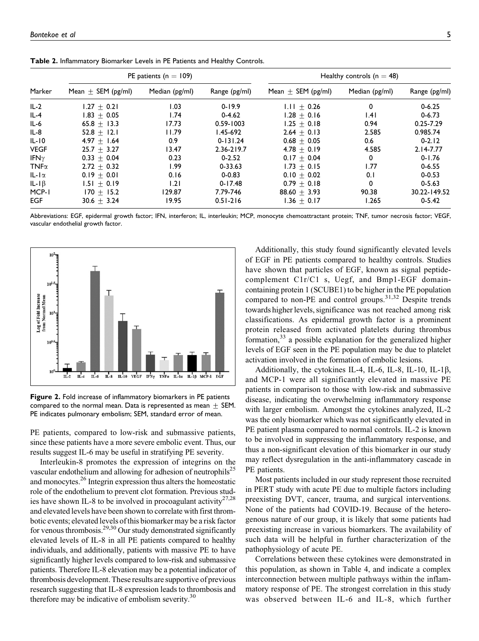| Marker       |                        | PE patients ( $n = 109$ ) |               | Healthy controls ( $n = 48$ ) |                |               |  |  |
|--------------|------------------------|---------------------------|---------------|-------------------------------|----------------|---------------|--|--|
|              | Mean $\pm$ SEM (pg/ml) | Median (pg/ml)            | Range (pg/ml) | Mean $\pm$ SEM (pg/ml)        | Median (pg/ml) | Range (pg/ml) |  |  |
| $IL-2$       | $1.27 + 0.21$          | I.O3                      | $0 - 19.9$    | $1.11 + 0.26$                 | 0              | $0 - 6.25$    |  |  |
| $IL-4$       | $1.83 \pm 0.05$        | 1.74                      | $0 - 4.62$    | $1.28 + 0.16$                 | 1.41           | $0 - 6.73$    |  |  |
| $IL-6$       | $65.8 + 13.3$          | 17.73                     | $0.59 - 1003$ | $1.25 + 0.18$                 | 0.94           | $0.25 - 7.29$ |  |  |
| $IL-8$       | 52.8 $\pm$ 12.1        | 11.79                     | I.45-692      | $2.64 + 0.13$                 | 2.585          | 0.985.74      |  |  |
| $IL-I0$      | 4.97 $\pm$ 1.64        | 0.9                       | $0 - 131.24$  | $0.68 + 0.05$                 | 0.6            | $0 - 2.12$    |  |  |
| <b>VEGF</b>  | $25.7 + 3.27$          | 13.47                     | 2.36-219.7    | $4.78 + 0.19$                 | 4.585          | $2.14 - 7.77$ |  |  |
| IFN $\gamma$ | $0.33 \pm 0.04$        | 0.23                      | $0 - 2.52$    | $0.17 + 0.04$                 | 0              | $0 - 1.76$    |  |  |
| TNF $\alpha$ | $2.72 + 0.32$          | 1.99                      | $0 - 33.63$   | $1.73 + 0.15$                 | 1.77           | $0 - 6.55$    |  |  |
| $IL-I\alpha$ | $0.19 + 0.01$          | 0.16                      | $0 - 0.83$    | $0.10 + 0.02$                 | 0.1            | $0 - 0.53$    |  |  |
| IL-I $\beta$ | $1.51 \pm 0.19$        | 1.21                      | $0 - 17.48$   | $0.79 \pm 0.18$               | 0              | $0 - 5.63$    |  |  |
| MCP-I        | $170 + 15.2$           | 129.87                    | 7.79-746      | $88.60 + 3.93$                | 90.38          | 30.22-149.52  |  |  |
| EGF          | $30.6 + 3.24$          | 19.95                     | $0.51 - 216$  | $1.36 + 0.17$                 | 1.265          | $0 - 5.42$    |  |  |

**Table 2.** Inflammatory Biomarker Levels in PE Patients and Healthy Controls.

Abbreviations: EGF, epidermal growth factor; IFN, interferon; IL, interleukin; MCP, monocyte chemoattractant protein; TNF, tumor necrosis factor; VEGF, vascular endothelial growth factor.



**Figure 2.** Fold increase of inflammatory biomarkers in PE patients compared to the normal mean. Data is represented as mean  $\pm$  SEM. PE indicates pulmonary embolism; SEM, standard error of mean.

PE patients, compared to low-risk and submassive patients, since these patients have a more severe embolic event. Thus, our results suggest IL-6 may be useful in stratifying PE severity.

Interleukin-8 promotes the expression of integrins on the vascular endothelium and allowing for adhesion of neutrophils<sup>25</sup> and monocytes.26 Integrin expression thus alters the homeostatic role of the endothelium to prevent clot formation. Previous studies have shown IL-8 to be involved in procoagulant activity<sup>27,28</sup> and elevated levels have been shown to correlate with first thrombotic events; elevated levels of this biomarker may be a risk factor for venous thrombosis.<sup>29,30</sup> Our study demonstrated significantly elevated levels of IL-8 in all PE patients compared to healthy individuals, and additionally, patients with massive PE to have significantly higher levels compared to low-risk and submassive patients. Therefore IL-8 elevation may be a potential indicator of thrombosis development. These results are supportive of previous research suggesting that IL-8 expression leads to thrombosis and therefore may be indicative of embolism severity. $30$ 

Additionally, this study found significantly elevated levels of EGF in PE patients compared to healthy controls. Studies have shown that particles of EGF, known as signal peptidecomplement C1r/C1 s, Uegf, and Bmp1-EGF domaincontaining protein 1 (SCUBE1) to be higher in the PE population compared to non-PE and control groups.<sup>31,32</sup> Despite trends towards higher levels, significance was not reached among risk classifications. As epidermal growth factor is a prominent protein released from activated platelets during thrombus formation,  $33$  a possible explanation for the generalized higher levels of EGF seen in the PE population may be due to platelet activation involved in the formation of embolic lesions.

Additionally, the cytokines IL-4, IL-6, IL-8, IL-10, IL-1 $\beta$ , and MCP-1 were all significantly elevated in massive PE patients in comparison to those with low-risk and submassive disease, indicating the overwhelming inflammatory response with larger embolism. Amongst the cytokines analyzed, IL-2 was the only biomarker which was not significantly elevated in PE patient plasma compared to normal controls. IL-2 is known to be involved in suppressing the inflammatory response, and thus a non-significant elevation of this biomarker in our study may reflect dysregulation in the anti-inflammatory cascade in PE patients.

Most patients included in our study represent those recruited in PERT study with acute PE due to multiple factors including preexisting DVT, cancer, trauma, and surgical interventions. None of the patients had COVID-19. Because of the heterogenous nature of our group, it is likely that some patients had preexisting increase in various biomarkers. The availability of such data will be helpful in further characterization of the pathophysiology of acute PE.

Correlations between these cytokines were demonstrated in this population, as shown in Table 4, and indicate a complex interconnection between multiple pathways within the inflammatory response of PE. The strongest correlation in this study was observed between IL-6 and IL-8, which further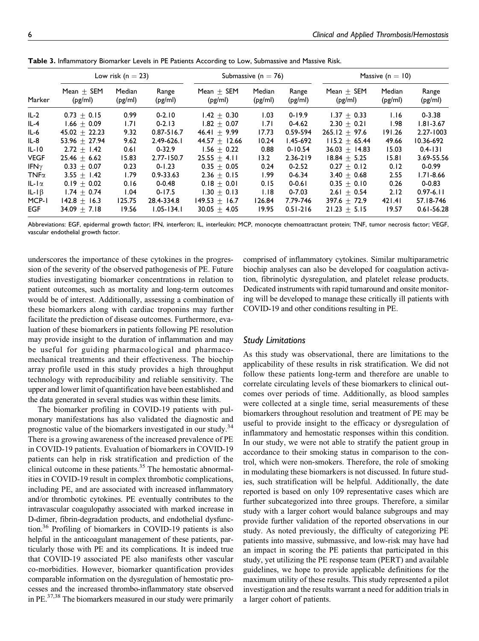| Marker       |                         | Low risk ( $n = 23$ ) |                  |                         | Submassive ( $n = 76$ ) |                  | Massive ( $n = 10$ )    |                   |                  |  |
|--------------|-------------------------|-----------------------|------------------|-------------------------|-------------------------|------------------|-------------------------|-------------------|------------------|--|
|              | $Mean + SEM$<br>(pg/ml) | Median<br>(pg/ml)     | Range<br>(pg/ml) | Mean $+$ SEM<br>(pg/ml) | Median<br>(pg/ml)       | Range<br>(pg/ml) | $Mean + SEM$<br>(pg/ml) | Median<br>(pg/ml) | Range<br>(pg/ml) |  |
| $IL-2$       | $0.73 \pm 0.15$         | 0.99                  | $0 - 2.10$       | $1.42 + 0.30$           | 1.03                    | $0 - 19.9$       | $1.37 + 0.33$           | 1.16              | $0 - 3.38$       |  |
| $IL-4$       | $1.66 + 0.09$           | 1.71                  | $0 - 2.13$       | $1.82 + 0.07$           | 1.71                    | $0 - 4.62$       | $2.30 + 0.21$           | 1.98              | $1.81 - 3.67$    |  |
| $IL-6$       | $45.02 + 22.23$         | 9.32                  | $0.87 - 516.7$   | $46.41 + 9.99$          | 17.73                   | 0.59-594         | $265.12 + 97.6$         | 191.26            | $2.27 - 1003$    |  |
| $IL-8$       | 53.96 $\pm$ 27.94       | 9.62                  | $2.49 - 626.1$   | $44.57 + 12.66$         | 10.24                   | $1.45 - 692$     | $115.2 + 65.44$         | 49.66             | $10.36 - 692$    |  |
| $IL-IO$      | $2.72 + 1.42$           | 0.61                  | $0 - 32.9$       | $1.56 + 0.22$           | 0.88                    | $0 - 10.54$      | $36.03 + 14.83$         | 15.03             | $0.4 - 131$      |  |
| <b>VEGF</b>  | $25.46 + 6.62$          | 15.83                 | $2.77 - 150.7$   | $25.55 + 4.11$          | 13.2                    | $2.36 - 219$     | $18.84 + 5.25$          | 15.81             | 3.69-55.56       |  |
| IFN $\gamma$ | $0.33 + 0.07$           | 0.23                  | $0 - 1.23$       | $0.35 + 0.05$           | 0.24                    | $0 - 2.52$       | $0.27 + 0.12$           | 0.12              | $0 - 0.99$       |  |
| $TNF\alpha$  | $3.55 + 1.42$           | 1.79                  | $0.9 - 33.63$    | $2.36 + 0.15$           | 1.99                    | $0 - 6.34$       | $3.40 + 0.68$           | 2.55              | $1.71 - 8.66$    |  |
| $IL-I\alpha$ | $0.19 + 0.02$           | 0.16                  | $0 - 0.48$       | $0.18 + 0.01$           | 0.15                    | $0 - 0.61$       | $0.35 + 0.10$           | 0.26              | $0 - 0.83$       |  |
| $IL-IB$      | $1.74 + 0.74$           | 1.04                  | $0 - 17.5$       | $1.30 + 0.13$           | 1.18                    | $0 - 7.03$       | $2.61 + 0.54$           | 2.12              | $0.97 - 6.11$    |  |
| MCP-1        | $142.8 + 16.3$          | 125.75                | 28.4-334.8       | $149.53 + 16.7$         | 126.84                  | 7.79-746         | $397.6 + 72.9$          | $42$ l.41         | 57.18-746        |  |
| EGF          | $34.09 + 7.18$          | 19.56                 | $1.05 - 134.1$   | $30.05 + 4.05$          | 19.95                   | $0.51 - 216$     | $21.23 \pm 5.15$        | 19.57             | $0.61 - 56.28$   |  |

**Table 3.** Inflammatory Biomarker Levels in PE Patients According to Low, Submassive and Massive Risk.

Abbreviations: EGF, epidermal growth factor; IFN, interferon; IL, interleukin; MCP, monocyte chemoattractant protein; TNF, tumor necrosis factor; VEGF, vascular endothelial growth factor.

underscores the importance of these cytokines in the progression of the severity of the observed pathogenesis of PE. Future studies investigating biomarker concentrations in relation to patient outcomes, such as mortality and long-term outcomes would be of interest. Additionally, assessing a combination of these biomarkers along with cardiac troponins may further facilitate the prediction of disease outcomes. Furthermore, evaluation of these biomarkers in patients following PE resolution may provide insight to the duration of inflammation and may be useful for guiding pharmacological and pharmacomechanical treatments and their effectiveness. The biochip array profile used in this study provides a high throughput technology with reproducibility and reliable sensitivity. The upper and lower limit of quantification have been established and the data generated in several studies was within these limits.

The biomarker profiling in COVID-19 patients with pulmonary manifestations has also validated the diagnostic and prognostic value of the biomarkers investigated in our study.<sup>34</sup> There is a growing awareness of the increased prevalence of PE in COVID-19 patients. Evaluation of biomarkers in COVID-19 patients can help in risk stratification and prediction of the clinical outcome in these patients.<sup>35</sup> The hemostatic abnormalities in COVID-19 result in complex thrombotic complications, including PE, and are associated with increased inflammatory and/or thrombotic cytokines. PE eventually contributes to the intravascular coagulopathy associated with marked increase in D-dimer, fibrin-degradation products, and endothelial dysfunction.36 Profiling of biomarkers in COVID-19 patients is also helpful in the anticoagulant management of these patients, particularly those with PE and its complications. It is indeed true that COVID-19 associated PE also manifests other vascular co-morbidities. However, biomarker quantification provides comparable information on the dysregulation of hemostatic processes and the increased thrombo-inflammatory state observed in PE. $37,38$  The biomarkers measured in our study were primarily

comprised of inflammatory cytokines. Similar multiparametric biochip analyses can also be developed for coagulation activation, fibrinolytic dysregulation, and platelet release products. Dedicated instruments with rapid turnaround and onsite monitoring will be developed to manage these critically ill patients with COVID-19 and other conditions resulting in PE.

#### *Study Limitations*

As this study was observational, there are limitations to the applicability of these results in risk stratification. We did not follow these patients long-term and therefore are unable to correlate circulating levels of these biomarkers to clinical outcomes over periods of time. Additionally, as blood samples were collected at a single time, serial measurements of these biomarkers throughout resolution and treatment of PE may be useful to provide insight to the efficacy or dysregulation of inflammatory and hemostatic responses within this condition. In our study, we were not able to stratify the patient group in accordance to their smoking status in comparison to the control, which were non-smokers. Therefore, the role of smoking in modulating these biomarkers is not discussed. In future studies, such stratification will be helpful. Additionally, the date reported is based on only 109 representative cases which are further subcategorized into three groups. Therefore, a similar study with a larger cohort would balance subgroups and may provide further validation of the reported observations in our study. As noted previously, the difficulty of categorizing PE patients into massive, submassive, and low-risk may have had an impact in scoring the PE patients that participated in this study, yet utilizing the PE response team (PERT) and available guidelines, we hope to provide applicable definitions for the maximum utility of these results. This study represented a pilot investigation and the results warrant a need for addition trials in a larger cohort of patients.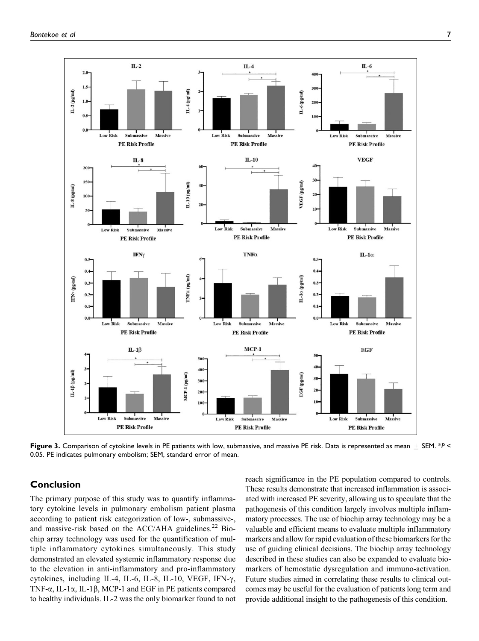

**Figure 3.** Comparison of cytokine levels in PE patients with low, submassive, and massive PE risk. Data is represented as mean  $\pm$  SEM. \**P* < 0.05. PE indicates pulmonary embolism; SEM, standard error of mean.

#### **Conclusion**

The primary purpose of this study was to quantify inflammatory cytokine levels in pulmonary embolism patient plasma according to patient risk categorization of low-, submassive-, and massive-risk based on the  $ACC/AHA$  guidelines.<sup>22</sup> Biochip array technology was used for the quantification of multiple inflammatory cytokines simultaneously. This study demonstrated an elevated systemic inflammatory response due to the elevation in anti-inflammatory and pro-inflammatory cytokines, including IL-4, IL-6, IL-8, IL-10, VEGF, IFN- $\gamma$ , TNF- $\alpha$ , IL-1 $\alpha$ , IL-1 $\beta$ , MCP-1 and EGF in PE patients compared to healthy individuals. IL-2 was the only biomarker found to not reach significance in the PE population compared to controls. These results demonstrate that increased inflammation is associated with increased PE severity, allowing us to speculate that the pathogenesis of this condition largely involves multiple inflammatory processes. The use of biochip array technology may be a valuable and efficient means to evaluate multiple inflammatory markers and allow for rapid evaluation of these biomarkers for the use of guiding clinical decisions. The biochip array technology described in these studies can also be expanded to evaluate biomarkers of hemostatic dysregulation and immuno-activation. Future studies aimed in correlating these results to clinical outcomes may be useful for the evaluation of patients long term and provide additional insight to the pathogenesis of this condition.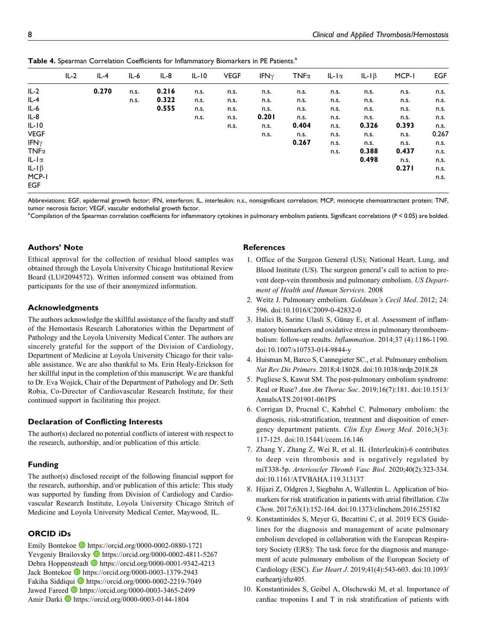|              | $IL-2$ | $IL-4$ | $IL-6$ | IL-8  | $IL-IO$ | <b>VEGF</b> | IFN $\gamma$ | TNF $\alpha$ | $IL-I\alpha$ | IL-I $\beta$ | MCP-1 | <b>EGF</b> |
|--------------|--------|--------|--------|-------|---------|-------------|--------------|--------------|--------------|--------------|-------|------------|
| $IL-2$       |        | 0.270  | n.s.   | 0.216 | n.s.    | n.s.        | n.s.         | n.s.         | n.s.         | n.s.         | n.s.  | n.s.       |
| $IL-4$       |        |        | n.s.   | 0.322 | n.s.    | n.s.        | n.s.         | n.s.         | n.s.         | n.s.         | n.s.  | n.s.       |
| IL-6         |        |        |        | 0.555 | n.s.    | n.s.        | n.s.         | n.s.         | n.s.         | n.s.         | n.s.  | n.s.       |
| $IL-8$       |        |        |        |       | n.s.    | n.s.        | 0.201        | n.s.         | n.s.         | n.s.         | n.s.  | n.s.       |
| $IL-IO$      |        |        |        |       |         | n.s.        | n.s.         | 0.404        | n.s.         | 0.326        | 0.393 | n.s.       |
| <b>VEGF</b>  |        |        |        |       |         |             | n.s.         | n.s.         | n.s.         | n.s.         | n.s.  | 0.267      |
| IFN $\gamma$ |        |        |        |       |         |             |              | 0.267        | n.s.         | n.s.         | n.s.  | n.s.       |
| $TNF\alpha$  |        |        |        |       |         |             |              |              | n.s.         | 0.388        | 0.437 | n.s.       |
| $IL-I\alpha$ |        |        |        |       |         |             |              |              |              | 0.498        | n.s.  | n.s.       |
| $IL-I\beta$  |        |        |        |       |         |             |              |              |              |              | 0.271 | n.s.       |
| MCP-1        |        |        |        |       |         |             |              |              |              |              |       | n.s.       |
| <b>EGF</b>   |        |        |        |       |         |             |              |              |              |              |       |            |
|              |        |        |        |       |         |             |              |              |              |              |       |            |

Table 4. Spearman Correlation Coefficients for Inflammatory Biomarkers in PE Patients.<sup>a</sup>

Abbreviations: EGF, epidermal growth factor; IFN, interferon; IL, interleukin; n.s., nonsignificant correlation; MCP, monocyte chemoattractant protein; TNF, tumor necrosis factor; VEGF, vascular endothelial growth factor.

a Compilation of the Spearman correlation coefficients for inflammatory cytokines in pulmonary embolism patients. Significant correlations (*P* < 0.05) are bolded.

## **Authors' Note**

Ethical approval for the collection of residual blood samples was obtained through the Loyola University Chicago Institutional Review Board (LU#2094572). Written informed consent was obtained from participants for the use of their anonymized information.

## **Acknowledgments**

The authors acknowledge the skillful assistance of the faculty and staff of the Hemostasis Research Laboratories within the Department of Pathology and the Loyola University Medical Center. The authors are sincerely grateful for the support of the Division of Cardiology, Department of Medicine at Loyola University Chicago for their valuable assistance. We are also thankful to Ms. Erin Healy-Erickson for her skillful input in the completion of this manuscript. We are thankful to Dr. Eva Wojick, Chair of the Department of Pathology and Dr. Seth Robia, Co-Director of Cardiovascular Research Institute, for their continued support in facilitating this project.

#### **Declaration of Conflicting Interests**

The author(s) declared no potential conflicts of interest with respect to the research, authorship, and/or publication of this article.

#### **Funding**

The author(s) disclosed receipt of the following financial support for the research, authorship, and/or publication of this article: This study was supported by funding from Division of Cardiology and Cardiovascular Research Institute, Loyola University Chicago Stritch of Medicine and Loyola University Medical Center, Maywood, IL.

#### **ORCID iDs**

Emily Bontekoe <https://orcid.org/0000-0002-0880-1721> Yevgeniy Brailovsky D <https://orcid.org/0000-0002-4811-5267> Debra Hoppensteadt **<https://orcid.org/0000-0001-9342-4213>** Jack Bontekoe **b** <https://orcid.org/0000-0003-1379-2943> Fakiha Siddiqui **I** <https://orcid.org/0000-0002-2219-7049> Jawed Fareed D <https://orcid.org/0000-0003-3465-2499> Amir Darki D<https://orcid.org/0000-0003-0144-1804>

#### **References**

- 1. Office of the Surgeon General (US); National Heart, Lung, and Blood Institute (US). The surgeon general's call to action to prevent deep-vein thrombosis and pulmonary embolism. US Department of Health and Human Services. 2008
- 2. Weitz J. Pulmonary embolism. Goldman's Cecil Med. 2012; 24: 596. doi:10.1016/C2009-0-42832-0
- 3. Halici B, Sarinc Ulasli S, Günay E, et al. Assessment of inflammatory biomarkers and oxidative stress in pulmonary thromboembolism: follow-up results. Inflammation. 2014;37 (4):1186-1190. doi:10.1007/s10753-014-9844-y
- 4. Huisman M, Barco S, Cannegieter SC., et al. Pulmonary embolism. Nat Rev Dis Primers. 2018;4:18028. doi:10.1038/nrdp.2018.28
- 5. Pugliese S, Kawut SM. The post-pulmonary embolism syndrome: Real or Ruse? Ann Am Thorac Soc. 2019;16(7):181. doi:10.1513/ AnnalsATS.201901-061PS
- 6. Corrigan D, Prucnal C, Kabrhel C. Pulmonary embolism: the diagnosis, risk-stratification, treatment and disposition of emergency department patients. Clin Exp Emerg Med. 2016;3(3): 117-125. doi:10.15441/ceem.16.146
- 7. Zhang Y, Zhang Z, Wei R, et al. IL (Interleukin)-6 contributes to deep vein thrombosis and is negatively regulated by miT338-5p. Arterioscler Thromb Vasc Biol. 2020;40(2):323-334. doi:10.1161/ATVBAHA.119.313137
- 8. Hijazi Z, Oldgren J, Siegbahn A, Wallentin L. Application of biomarkers for risk stratification in patients with atrial fibrillation. Clin Chem. 2017;63(1):152-164. doi:10.1373/clinchem.2016.255182
- 9. Konstantinides S, Meyer G, Becattini C, et al. 2019 ECS Guidelines for the diagnosis and management of acute pulmonary embolism developed in collaboration with the European Respiratory Society (ERS): The task force for the diagnosis and management of acute pulmonary embolism of the European Society of Cardiology (ESC). Eur Heart J. 2019;41(4):543-603. doi:10.1093/ eurheartj/ehz405.
- 10. Konstantinides S, Geibel A, Olschewski M, et al. Importance of cardiac troponins I and T in risk stratification of patients with